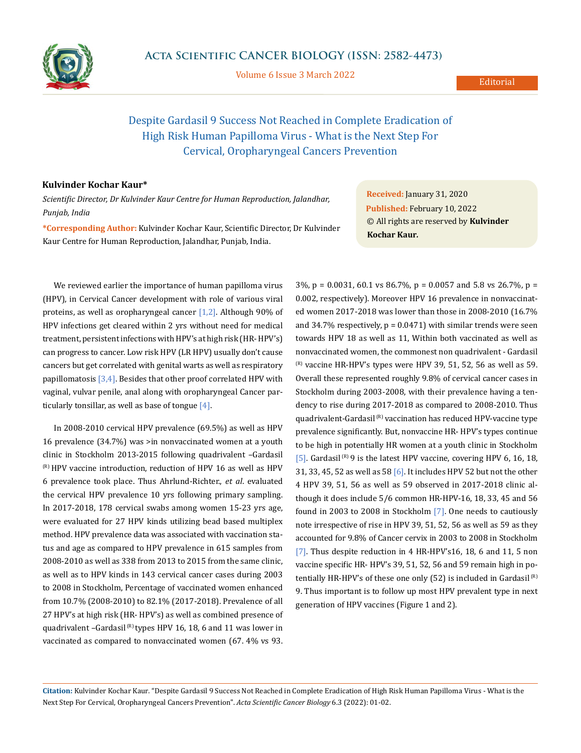

Volume 6 Issue 3 March 2022

## Despite Gardasil 9 Success Not Reached in Complete Eradication of High Risk Human Papilloma Virus - What is the Next Step For Cervical, Oropharyngeal Cancers Prevention

## **Kulvinder Kochar Kaur\***

*Scientific Director, Dr Kulvinder Kaur Centre for Human Reproduction, Jalandhar, Punjab, India*

**\*Corresponding Author:** Kulvinder Kochar Kaur, Scientific Director, Dr Kulvinder Kaur Centre for Human Reproduction, Jalandhar, Punjab, India.

**Received:** January 31, 2020 **Published:** February 10, 2022 © All rights are reserved by **Kulvinder Kochar Kaur***.*

We reviewed earlier the importance of human papilloma virus (HPV), in Cervical Cancer development with role of various viral proteins, as well as oropharyngeal cancer [1,2]. Although 90% of HPV infections get cleared within 2 yrs without need for medical treatment, persistent infections with HPV's at high risk (HR- HPV's) can progress to cancer. Low risk HPV (LR HPV) usually don't cause cancers but get correlated with genital warts as well as respiratory papillomatosis  $[3,4]$ . Besides that other proof correlated HPV with vaginal, vulvar penile, anal along with oropharyngeal Cancer particularly tonsillar, as well as base of tongue  $[4]$ .

In 2008-2010 cervical HPV prevalence (69.5%) as well as HPV 16 prevalence (34.7%) was >in nonvaccinated women at a youth clinic in Stockholm 2013-2015 following quadrivalent –Gardasil  $(R)$  HPV vaccine introduction, reduction of HPV 16 as well as HPV 6 prevalence took place. Thus Ahrlund-Richter., *et al*. evaluated the cervical HPV prevalence 10 yrs following primary sampling. In 2017-2018, 178 cervical swabs among women 15-23 yrs age, were evaluated for 27 HPV kinds utilizing bead based multiplex method. HPV prevalence data was associated with vaccination status and age as compared to HPV prevalence in 615 samples from 2008-2010 as well as 338 from 2013 to 2015 from the same clinic, as well as to HPV kinds in 143 cervical cancer cases during 2003 to 2008 in Stockholm, Percentage of vaccinated women enhanced from 10.7% (2008-2010) to 82.1% (2017-2018). Prevalence of all 27 HPV's at high risk (HR- HPV's) as well as combined presence of quadrivalent -Gardasil<sup>(R)</sup> types HPV 16, 18, 6 and 11 was lower in vaccinated as compared to nonvaccinated women (67. 4% vs 93.

3%, p = 0.0031, 60.1 vs 86.7%, p = 0.0057 and 5.8 vs 26.7%, p = 0.002, respectively). Moreover HPV 16 prevalence in nonvaccinated women 2017-2018 was lower than those in 2008-2010 (16.7% and 34.7% respectively,  $p = 0.0471$ ) with similar trends were seen towards HPV 18 as well as 11, Within both vaccinated as well as nonvaccinated women, the commonest non quadrivalent - Gardasil  $(R)$  vaccine HR-HPV's types were HPV 39, 51, 52, 56 as well as 59. Overall these represented roughly 9.8% of cervical cancer cases in Stockholm during 2003-2008, with their prevalence having a tendency to rise during 2017-2018 as compared to 2008-2010. Thus quadrivalent-Gardasil<sup>(R)</sup> vaccination has reduced HPV-vaccine type prevalence significantly. But, nonvaccine HR- HPV's types continue to be high in potentially HR women at a youth clinic in Stockholm [5]. Gardasil  $^{(R)}$  9 is the latest HPV vaccine, covering HPV 6, 16, 18, 31, 33, 45, 52 as well as 58 [6]. It includes HPV 52 but not the other 4 HPV 39, 51, 56 as well as 59 observed in 2017-2018 clinic although it does include 5/6 common HR-HPV-16, 18, 33, 45 and 56 found in 2003 to 2008 in Stockholm [7]. One needs to cautiously note irrespective of rise in HPV 39, 51, 52, 56 as well as 59 as they accounted for 9.8% of Cancer cervix in 2003 to 2008 in Stockholm [7]. Thus despite reduction in 4 HR-HPV's16, 18, 6 and 11, 5 non vaccine specific HR- HPV's 39, 51, 52, 56 and 59 remain high in potentially HR-HPV's of these one only  $(52)$  is included in Gardasil<sup>(R)</sup> 9. Thus important is to follow up most HPV prevalent type in next generation of HPV vaccines (Figure 1 and 2).

**Citation:** Kulvinder Kochar Kaur*.* "Despite Gardasil 9 Success Not Reached in Complete Eradication of High Risk Human Papilloma Virus - What is the Next Step For Cervical, Oropharyngeal Cancers Prevention". *Acta Scientific Cancer Biology* 6.3 (2022): 01-02.